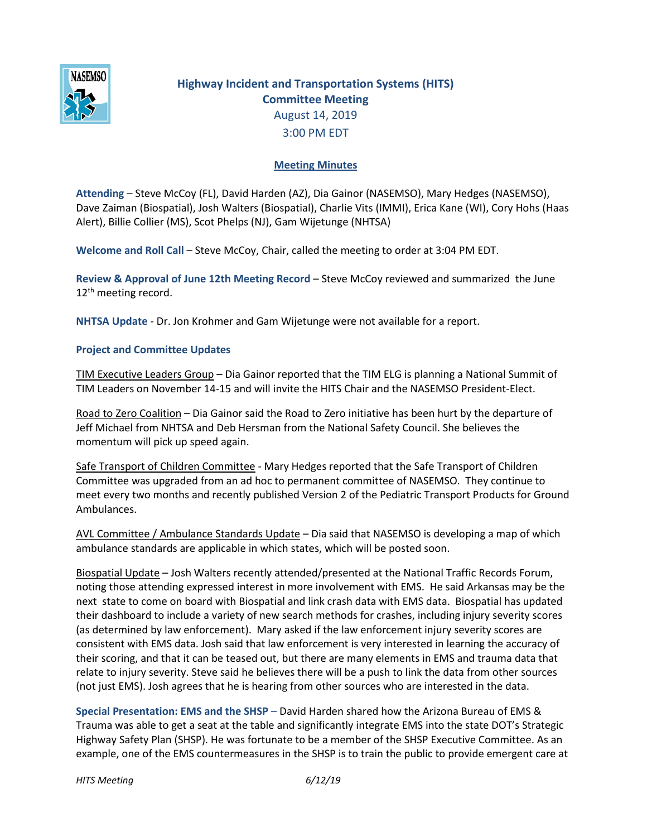

## **Highway Incident and Transportation Systems (HITS) Committee Meeting** August 14, 2019 3:00 PM EDT

## **Meeting Minutes**

**Attending** – Steve McCoy (FL), David Harden (AZ), Dia Gainor (NASEMSO), Mary Hedges (NASEMSO), Dave Zaiman (Biospatial), Josh Walters (Biospatial), Charlie Vits (IMMI), Erica Kane (WI), Cory Hohs (Haas Alert), Billie Collier (MS), Scot Phelps (NJ), Gam Wijetunge (NHTSA)

**Welcome and Roll Call** – Steve McCoy, Chair, called the meeting to order at 3:04 PM EDT.

**Review & Approval of June 12th Meeting Record** – Steve McCoy reviewed and summarized the June 12<sup>th</sup> meeting record.

**NHTSA Update** - Dr. Jon Krohmer and Gam Wijetunge were not available for a report.

## **Project and Committee Updates**

TIM Executive Leaders Group – Dia Gainor reported that the TIM ELG is planning a National Summit of TIM Leaders on November 14-15 and will invite the HITS Chair and the NASEMSO President-Elect.

Road to Zero Coalition – Dia Gainor said the Road to Zero initiative has been hurt by the departure of Jeff Michael from NHTSA and Deb Hersman from the National Safety Council. She believes the momentum will pick up speed again.

Safe Transport of Children Committee - Mary Hedges reported that the Safe Transport of Children Committee was upgraded from an ad hoc to permanent committee of NASEMSO. They continue to meet every two months and recently published Version 2 of the Pediatric Transport Products for Ground Ambulances.

AVL Committee / Ambulance Standards Update – Dia said that NASEMSO is developing a map of which ambulance standards are applicable in which states, which will be posted soon.

Biospatial Update – Josh Walters recently attended/presented at the National Traffic Records Forum, noting those attending expressed interest in more involvement with EMS. He said Arkansas may be the next state to come on board with Biospatial and link crash data with EMS data. Biospatial has updated their dashboard to include a variety of new search methods for crashes, including injury severity scores (as determined by law enforcement). Mary asked if the law enforcement injury severity scores are consistent with EMS data. Josh said that law enforcement is very interested in learning the accuracy of their scoring, and that it can be teased out, but there are many elements in EMS and trauma data that relate to injury severity. Steve said he believes there will be a push to link the data from other sources (not just EMS). Josh agrees that he is hearing from other sources who are interested in the data.

**Special Presentation: EMS and the SHSP** – David Harden shared how the Arizona Bureau of EMS & Trauma was able to get a seat at the table and significantly integrate EMS into the state DOT's Strategic Highway Safety Plan (SHSP). He was fortunate to be a member of the SHSP Executive Committee. As an example, one of the EMS countermeasures in the SHSP is to train the public to provide emergent care at